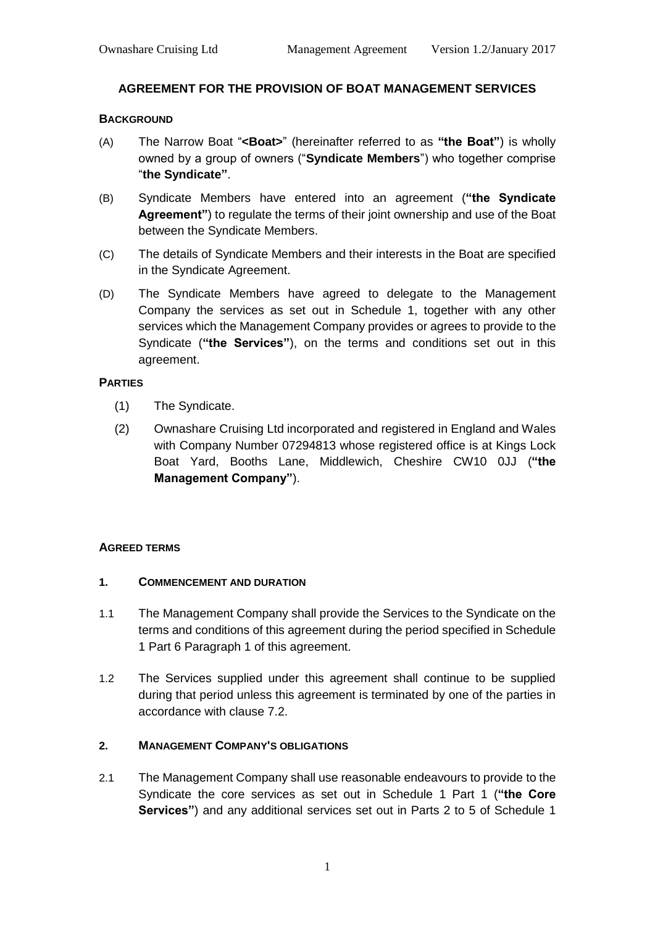# **AGREEMENT FOR THE PROVISION OF BOAT MANAGEMENT SERVICES**

### **BACKGROUND**

- (A) The Narrow Boat "**<Boat>**" (hereinafter referred to as **"the Boat"**) is wholly owned by a group of owners ("**Syndicate Members**") who together comprise "**the Syndicate"**.
- (B) Syndicate Members have entered into an agreement (**"the Syndicate Agreement"**) to regulate the terms of their joint ownership and use of the Boat between the Syndicate Members.
- (C) The details of Syndicate Members and their interests in the Boat are specified in the Syndicate Agreement.
- (D) The Syndicate Members have agreed to delegate to the Management Company the services as set out in Schedule 1, together with any other services which the Management Company provides or agrees to provide to the Syndicate (**"the Services"**), on the terms and conditions set out in this agreement.

## **PARTIES**

- (1) The Syndicate.
- (2) Ownashare Cruising Ltd incorporated and registered in England and Wales with Company Number 07294813 whose registered office is at Kings Lock Boat Yard, Booths Lane, Middlewich, Cheshire CW10 0JJ (**"the Management Company"**).

### **AGREED TERMS**

### **1. COMMENCEMENT AND DURATION**

- 1.1 The Management Company shall provide the Services to the Syndicate on the terms and conditions of this agreement during the period specified in Schedule 1 Part 6 Paragraph 1 of this agreement.
- 1.2 The Services supplied under this agreement shall continue to be supplied during that period unless this agreement is terminated by one of the parties in accordance with clause 7.2.

# **2. MANAGEMENT COMPANY'S OBLIGATIONS**

2.1 The Management Company shall use reasonable endeavours to provide to the Syndicate the core services as set out in Schedule 1 Part 1 (**"the Core Services"**) and any additional services set out in Parts 2 to 5 of Schedule 1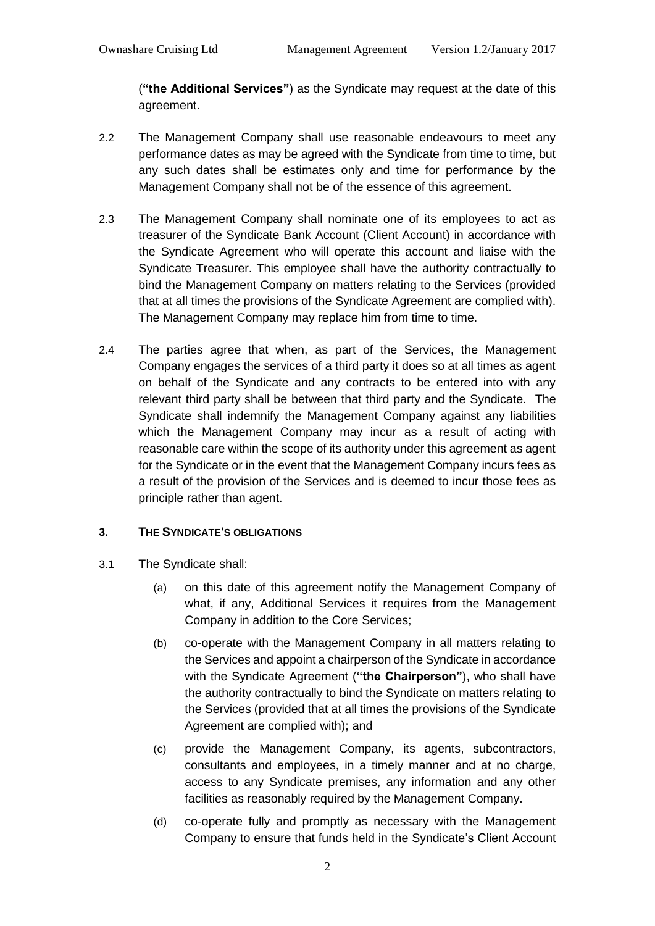(**"the Additional Services"**) as the Syndicate may request at the date of this agreement.

- 2.2 The Management Company shall use reasonable endeavours to meet any performance dates as may be agreed with the Syndicate from time to time, but any such dates shall be estimates only and time for performance by the Management Company shall not be of the essence of this agreement.
- 2.3 The Management Company shall nominate one of its employees to act as treasurer of the Syndicate Bank Account (Client Account) in accordance with the Syndicate Agreement who will operate this account and liaise with the Syndicate Treasurer. This employee shall have the authority contractually to bind the Management Company on matters relating to the Services (provided that at all times the provisions of the Syndicate Agreement are complied with). The Management Company may replace him from time to time.
- 2.4 The parties agree that when, as part of the Services, the Management Company engages the services of a third party it does so at all times as agent on behalf of the Syndicate and any contracts to be entered into with any relevant third party shall be between that third party and the Syndicate. The Syndicate shall indemnify the Management Company against any liabilities which the Management Company may incur as a result of acting with reasonable care within the scope of its authority under this agreement as agent for the Syndicate or in the event that the Management Company incurs fees as a result of the provision of the Services and is deemed to incur those fees as principle rather than agent.

# **3. THE SYNDICATE'S OBLIGATIONS**

- 3.1 The Syndicate shall:
	- (a) on this date of this agreement notify the Management Company of what, if any, Additional Services it requires from the Management Company in addition to the Core Services;
	- (b) co-operate with the Management Company in all matters relating to the Services and appoint a chairperson of the Syndicate in accordance with the Syndicate Agreement (**"the Chairperson"**), who shall have the authority contractually to bind the Syndicate on matters relating to the Services (provided that at all times the provisions of the Syndicate Agreement are complied with); and
	- (c) provide the Management Company, its agents, subcontractors, consultants and employees, in a timely manner and at no charge, access to any Syndicate premises, any information and any other facilities as reasonably required by the Management Company.
	- (d) co-operate fully and promptly as necessary with the Management Company to ensure that funds held in the Syndicate's Client Account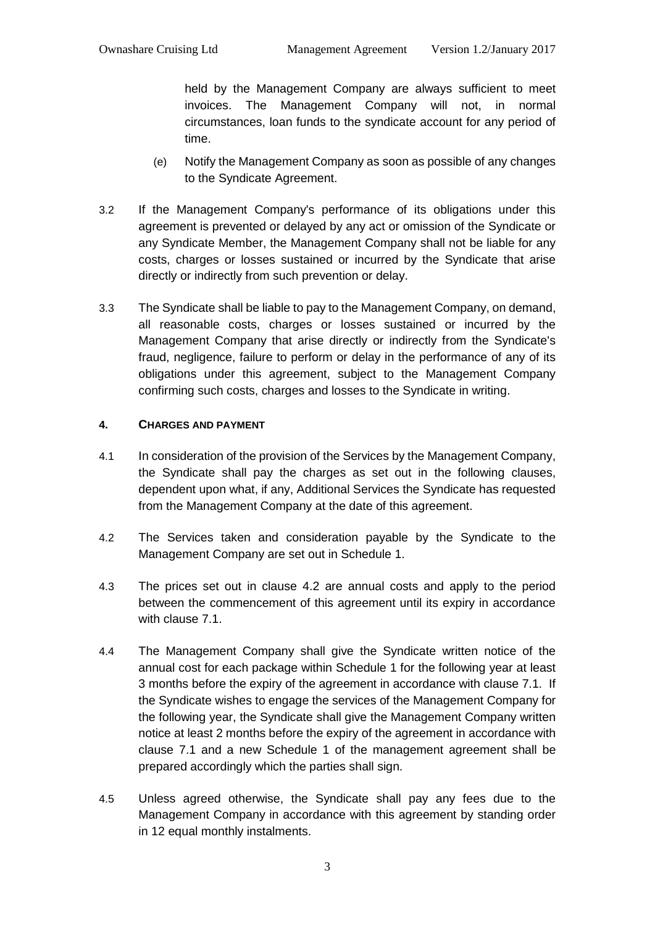held by the Management Company are always sufficient to meet invoices. The Management Company will not, in normal circumstances, loan funds to the syndicate account for any period of time.

- (e) Notify the Management Company as soon as possible of any changes to the Syndicate Agreement.
- 3.2 If the Management Company's performance of its obligations under this agreement is prevented or delayed by any act or omission of the Syndicate or any Syndicate Member, the Management Company shall not be liable for any costs, charges or losses sustained or incurred by the Syndicate that arise directly or indirectly from such prevention or delay.
- 3.3 The Syndicate shall be liable to pay to the Management Company, on demand, all reasonable costs, charges or losses sustained or incurred by the Management Company that arise directly or indirectly from the Syndicate's fraud, negligence, failure to perform or delay in the performance of any of its obligations under this agreement, subject to the Management Company confirming such costs, charges and losses to the Syndicate in writing.

## **4. CHARGES AND PAYMENT**

- 4.1 In consideration of the provision of the Services by the Management Company, the Syndicate shall pay the charges as set out in the following clauses, dependent upon what, if any, Additional Services the Syndicate has requested from the Management Company at the date of this agreement.
- 4.2 The Services taken and consideration payable by the Syndicate to the Management Company are set out in Schedule 1.
- 4.3 The prices set out in clause 4.2 are annual costs and apply to the period between the commencement of this agreement until its expiry in accordance with clause 7.1.
- 4.4 The Management Company shall give the Syndicate written notice of the annual cost for each package within Schedule 1 for the following year at least 3 months before the expiry of the agreement in accordance with clause 7.1. If the Syndicate wishes to engage the services of the Management Company for the following year, the Syndicate shall give the Management Company written notice at least 2 months before the expiry of the agreement in accordance with clause 7.1 and a new Schedule 1 of the management agreement shall be prepared accordingly which the parties shall sign.
- 4.5 Unless agreed otherwise, the Syndicate shall pay any fees due to the Management Company in accordance with this agreement by standing order in 12 equal monthly instalments.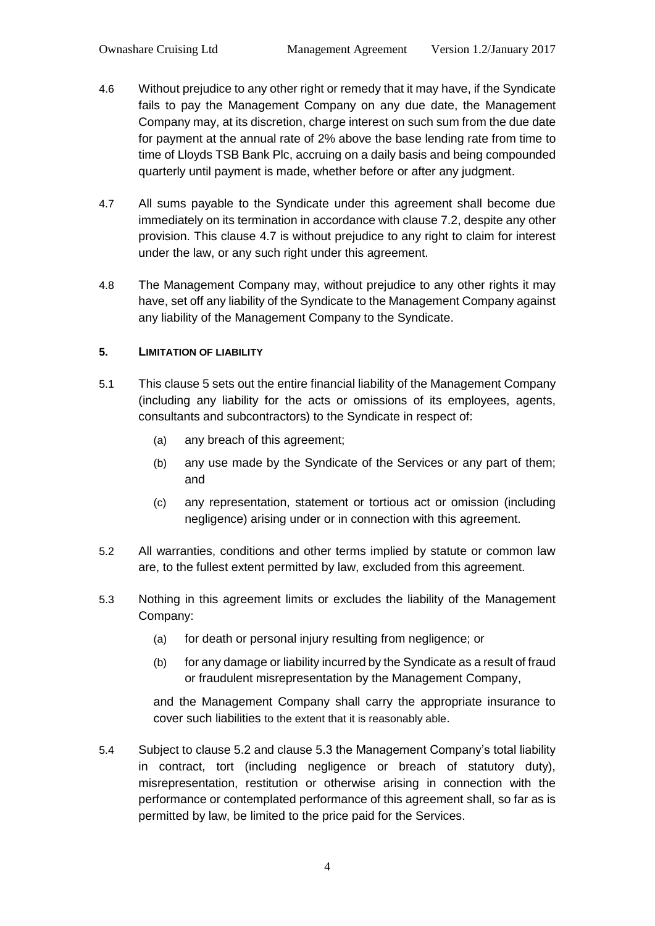- 4.6 Without prejudice to any other right or remedy that it may have, if the Syndicate fails to pay the Management Company on any due date, the Management Company may, at its discretion, charge interest on such sum from the due date for payment at the annual rate of 2% above the base lending rate from time to time of Lloyds TSB Bank Plc, accruing on a daily basis and being compounded quarterly until payment is made, whether before or after any judgment.
- 4.7 All sums payable to the Syndicate under this agreement shall become due immediately on its termination in accordance with clause 7.2, despite any other provision. This clause 4.7 is without prejudice to any right to claim for interest under the law, or any such right under this agreement.
- 4.8 The Management Company may, without prejudice to any other rights it may have, set off any liability of the Syndicate to the Management Company against any liability of the Management Company to the Syndicate.

## **5. LIMITATION OF LIABILITY**

- 5.1 This clause 5 sets out the entire financial liability of the Management Company (including any liability for the acts or omissions of its employees, agents, consultants and subcontractors) to the Syndicate in respect of:
	- (a) any breach of this agreement;
	- (b) any use made by the Syndicate of the Services or any part of them; and
	- (c) any representation, statement or tortious act or omission (including negligence) arising under or in connection with this agreement.
- 5.2 All warranties, conditions and other terms implied by statute or common law are, to the fullest extent permitted by law, excluded from this agreement.
- 5.3 Nothing in this agreement limits or excludes the liability of the Management Company:
	- (a) for death or personal injury resulting from negligence; or
	- (b) for any damage or liability incurred by the Syndicate as a result of fraud or fraudulent misrepresentation by the Management Company,

and the Management Company shall carry the appropriate insurance to cover such liabilities to the extent that it is reasonably able.

5.4 Subject to clause 5.2 and clause 5.3 the Management Company's total liability in contract, tort (including negligence or breach of statutory duty), misrepresentation, restitution or otherwise arising in connection with the performance or contemplated performance of this agreement shall, so far as is permitted by law, be limited to the price paid for the Services.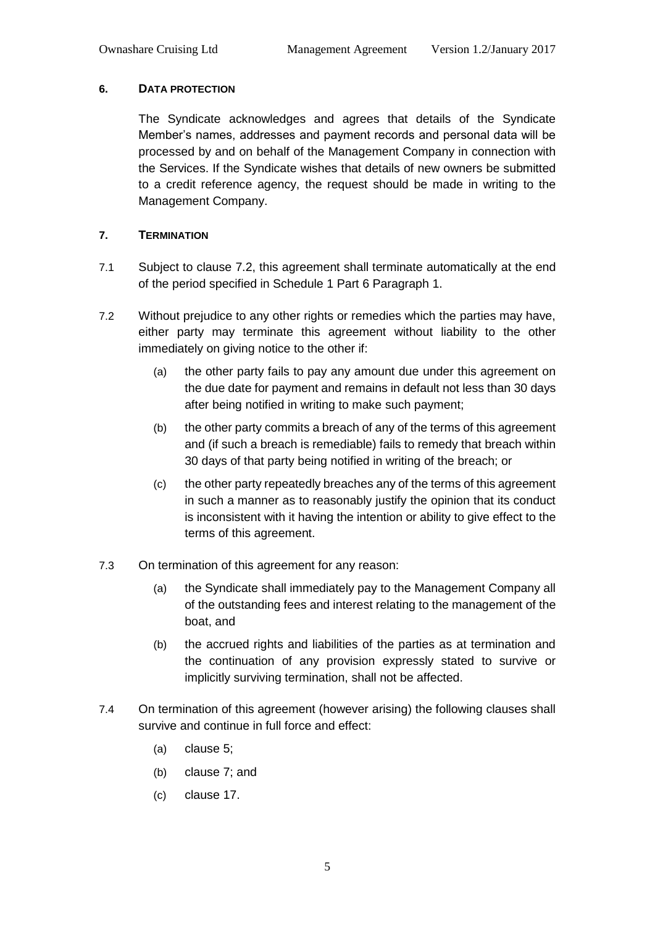# **6. DATA PROTECTION**

The Syndicate acknowledges and agrees that details of the Syndicate Member's names, addresses and payment records and personal data will be processed by and on behalf of the Management Company in connection with the Services. If the Syndicate wishes that details of new owners be submitted to a credit reference agency, the request should be made in writing to the Management Company.

# **7. TERMINATION**

- 7.1 Subject to clause 7.2, this agreement shall terminate automatically at the end of the period specified in Schedule 1 Part 6 Paragraph 1.
- 7.2 Without prejudice to any other rights or remedies which the parties may have, either party may terminate this agreement without liability to the other immediately on giving notice to the other if:
	- (a) the other party fails to pay any amount due under this agreement on the due date for payment and remains in default not less than 30 days after being notified in writing to make such payment;
	- (b) the other party commits a breach of any of the terms of this agreement and (if such a breach is remediable) fails to remedy that breach within 30 days of that party being notified in writing of the breach; or
	- (c) the other party repeatedly breaches any of the terms of this agreement in such a manner as to reasonably justify the opinion that its conduct is inconsistent with it having the intention or ability to give effect to the terms of this agreement.
- 7.3 On termination of this agreement for any reason:
	- (a) the Syndicate shall immediately pay to the Management Company all of the outstanding fees and interest relating to the management of the boat, and
	- (b) the accrued rights and liabilities of the parties as at termination and the continuation of any provision expressly stated to survive or implicitly surviving termination, shall not be affected.
- 7.4 On termination of this agreement (however arising) the following clauses shall survive and continue in full force and effect:
	- (a) clause 5;
	- (b) clause 7; and
	- (c) clause 17.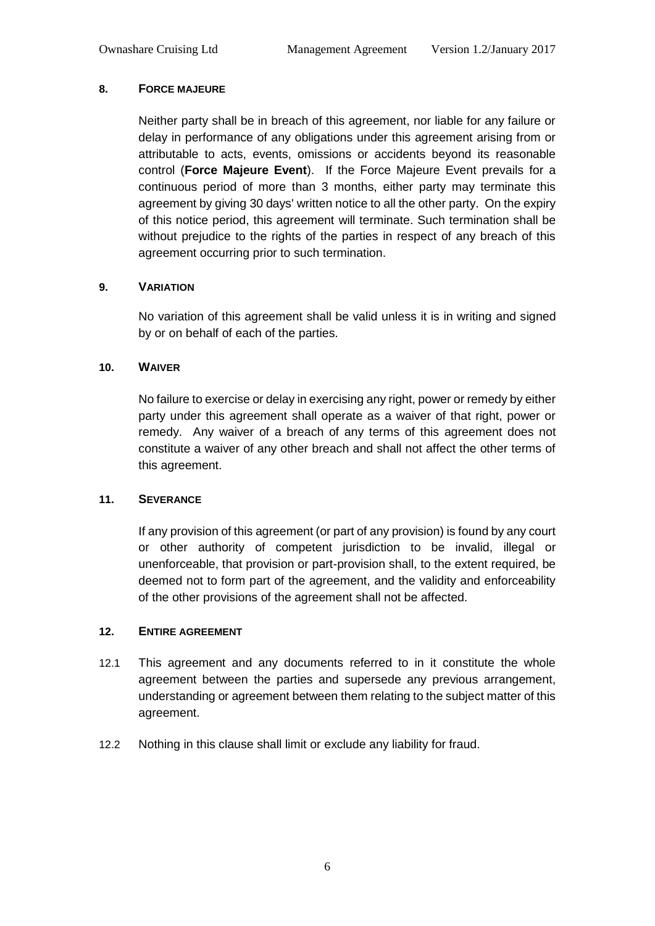# **8. FORCE MAJEURE**

Neither party shall be in breach of this agreement, nor liable for any failure or delay in performance of any obligations under this agreement arising from or attributable to acts, events, omissions or accidents beyond its reasonable control (**Force Majeure Event**). If the Force Majeure Event prevails for a continuous period of more than 3 months, either party may terminate this agreement by giving 30 days' written notice to all the other party. On the expiry of this notice period, this agreement will terminate. Such termination shall be without prejudice to the rights of the parties in respect of any breach of this agreement occurring prior to such termination.

# **9. VARIATION**

No variation of this agreement shall be valid unless it is in writing and signed by or on behalf of each of the parties.

# **10. WAIVER**

No failure to exercise or delay in exercising any right, power or remedy by either party under this agreement shall operate as a waiver of that right, power or remedy. Any waiver of a breach of any terms of this agreement does not constitute a waiver of any other breach and shall not affect the other terms of this agreement.

# **11. SEVERANCE**

If any provision of this agreement (or part of any provision) is found by any court or other authority of competent jurisdiction to be invalid, illegal or unenforceable, that provision or part-provision shall, to the extent required, be deemed not to form part of the agreement, and the validity and enforceability of the other provisions of the agreement shall not be affected.

# **12. ENTIRE AGREEMENT**

- 12.1 This agreement and any documents referred to in it constitute the whole agreement between the parties and supersede any previous arrangement, understanding or agreement between them relating to the subject matter of this agreement.
- 12.2 Nothing in this clause shall limit or exclude any liability for fraud.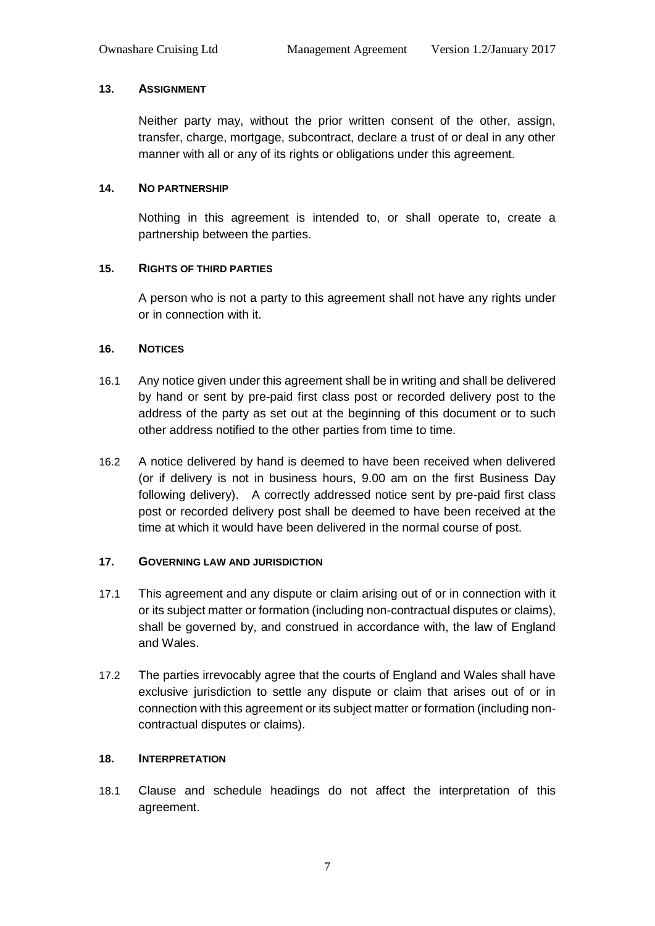## **13. ASSIGNMENT**

Neither party may, without the prior written consent of the other, assign, transfer, charge, mortgage, subcontract, declare a trust of or deal in any other manner with all or any of its rights or obligations under this agreement.

## **14. NO PARTNERSHIP**

Nothing in this agreement is intended to, or shall operate to, create a partnership between the parties.

# **15. RIGHTS OF THIRD PARTIES**

A person who is not a party to this agreement shall not have any rights under or in connection with it.

## **16. NOTICES**

- 16.1 Any notice given under this agreement shall be in writing and shall be delivered by hand or sent by pre-paid first class post or recorded delivery post to the address of the party as set out at the beginning of this document or to such other address notified to the other parties from time to time.
- 16.2 A notice delivered by hand is deemed to have been received when delivered (or if delivery is not in business hours, 9.00 am on the first Business Day following delivery). A correctly addressed notice sent by pre-paid first class post or recorded delivery post shall be deemed to have been received at the time at which it would have been delivered in the normal course of post.

# **17. GOVERNING LAW AND JURISDICTION**

- 17.1 This agreement and any dispute or claim arising out of or in connection with it or its subject matter or formation (including non-contractual disputes or claims), shall be governed by, and construed in accordance with, the law of England and Wales.
- 17.2 The parties irrevocably agree that the courts of England and Wales shall have exclusive jurisdiction to settle any dispute or claim that arises out of or in connection with this agreement or its subject matter or formation (including noncontractual disputes or claims).

# **18. INTERPRETATION**

18.1 Clause and schedule headings do not affect the interpretation of this agreement.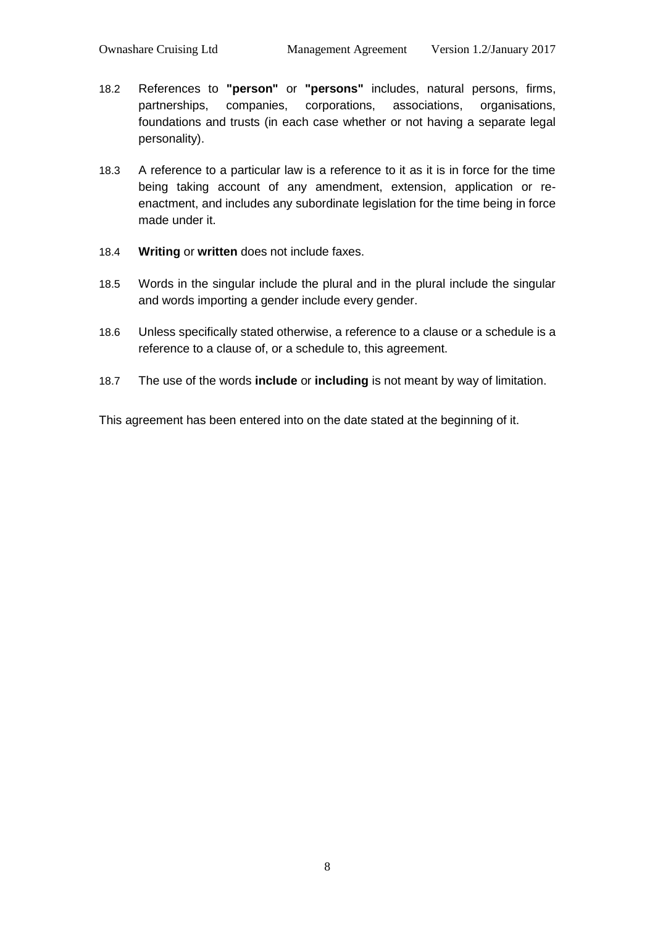- 18.2 References to **"person"** or **"persons"** includes, natural persons, firms, partnerships, companies, corporations, associations, organisations, foundations and trusts (in each case whether or not having a separate legal personality).
- 18.3 A reference to a particular law is a reference to it as it is in force for the time being taking account of any amendment, extension, application or reenactment, and includes any subordinate legislation for the time being in force made under it.
- 18.4 **Writing** or **written** does not include faxes.
- 18.5 Words in the singular include the plural and in the plural include the singular and words importing a gender include every gender.
- 18.6 Unless specifically stated otherwise, a reference to a clause or a schedule is a reference to a clause of, or a schedule to, this agreement.
- 18.7 The use of the words **include** or **including** is not meant by way of limitation.

This agreement has been entered into on the date stated at the beginning of it.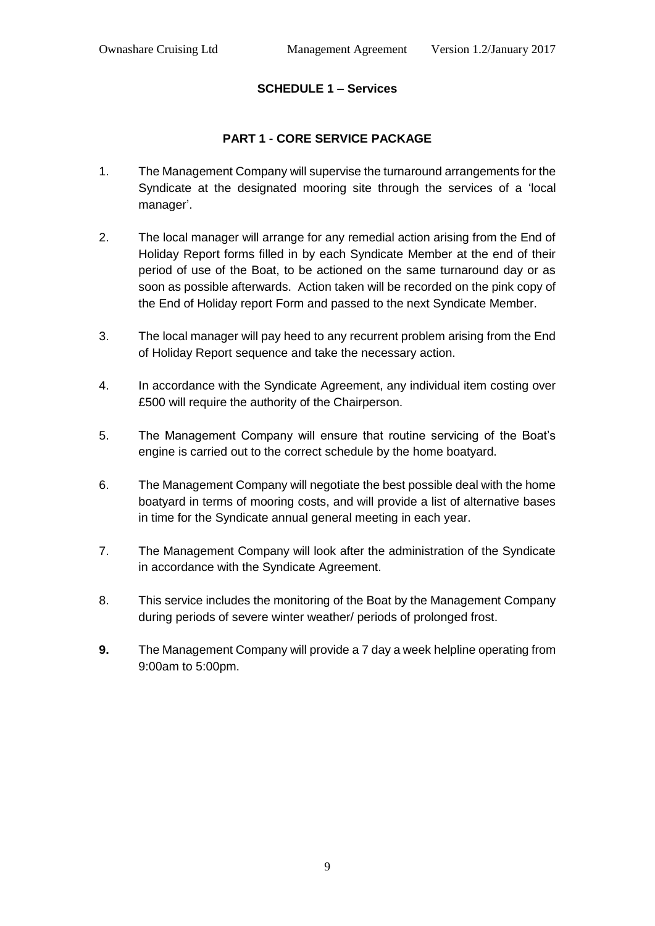# **SCHEDULE 1 – Services**

# **PART 1 - CORE SERVICE PACKAGE**

- 1. The Management Company will supervise the turnaround arrangements for the Syndicate at the designated mooring site through the services of a 'local manager'.
- 2. The local manager will arrange for any remedial action arising from the End of Holiday Report forms filled in by each Syndicate Member at the end of their period of use of the Boat, to be actioned on the same turnaround day or as soon as possible afterwards. Action taken will be recorded on the pink copy of the End of Holiday report Form and passed to the next Syndicate Member.
- 3. The local manager will pay heed to any recurrent problem arising from the End of Holiday Report sequence and take the necessary action.
- 4. In accordance with the Syndicate Agreement, any individual item costing over £500 will require the authority of the Chairperson.
- 5. The Management Company will ensure that routine servicing of the Boat's engine is carried out to the correct schedule by the home boatyard.
- 6. The Management Company will negotiate the best possible deal with the home boatyard in terms of mooring costs, and will provide a list of alternative bases in time for the Syndicate annual general meeting in each year.
- 7. The Management Company will look after the administration of the Syndicate in accordance with the Syndicate Agreement.
- 8. This service includes the monitoring of the Boat by the Management Company during periods of severe winter weather/ periods of prolonged frost.
- **9.** The Management Company will provide a 7 day a week helpline operating from 9:00am to 5:00pm.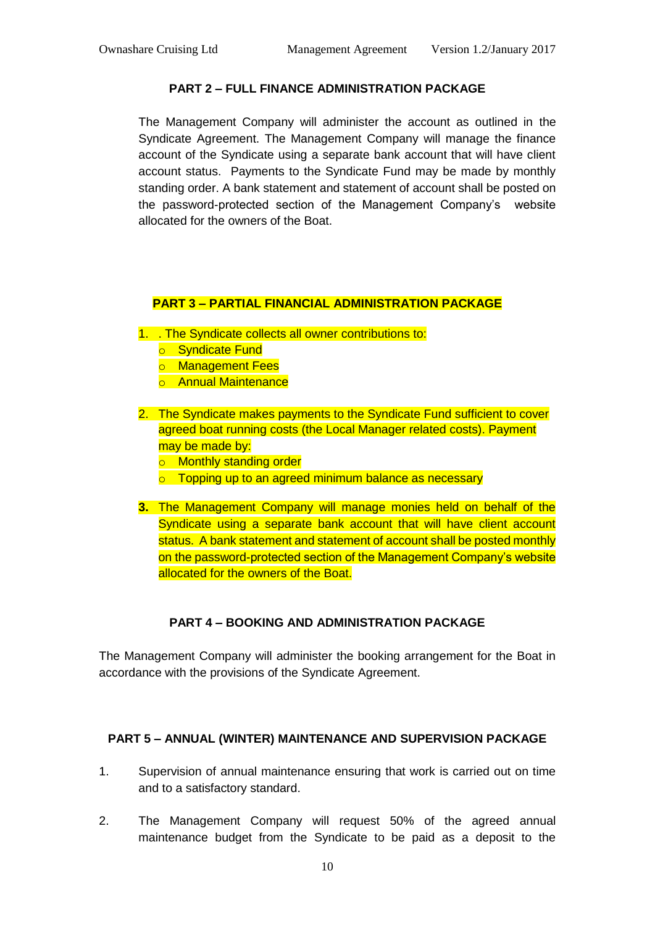# **PART 2 – FULL FINANCE ADMINISTRATION PACKAGE**

The Management Company will administer the account as outlined in the Syndicate Agreement. The Management Company will manage the finance account of the Syndicate using a separate bank account that will have client account status. Payments to the Syndicate Fund may be made by monthly standing order. A bank statement and statement of account shall be posted on the password-protected section of the Management Company's website allocated for the owners of the Boat.

## **PART 3 – PARTIAL FINANCIAL ADMINISTRATION PACKAGE**

- 1. . The Syndicate collects all owner contributions to:
	- o Syndicate Fund
	- o Management Fees
	- o Annual Maintenance
- 2. The Syndicate makes payments to the Syndicate Fund sufficient to cover agreed boat running costs (the Local Manager related costs). Payment may be made by:
	- o Monthly standing order
	- $\circ$  Topping up to an agreed minimum balance as necessary
- **3.** The Management Company will manage monies held on behalf of the Syndicate using a separate bank account that will have client account status. A bank statement and statement of account shall be posted monthly on the password-protected section of the Management Company's website allocated for the owners of the Boat.

# **PART 4 – BOOKING AND ADMINISTRATION PACKAGE**

The Management Company will administer the booking arrangement for the Boat in accordance with the provisions of the Syndicate Agreement.

# **PART 5 – ANNUAL (WINTER) MAINTENANCE AND SUPERVISION PACKAGE**

- 1. Supervision of annual maintenance ensuring that work is carried out on time and to a satisfactory standard.
- 2. The Management Company will request 50% of the agreed annual maintenance budget from the Syndicate to be paid as a deposit to the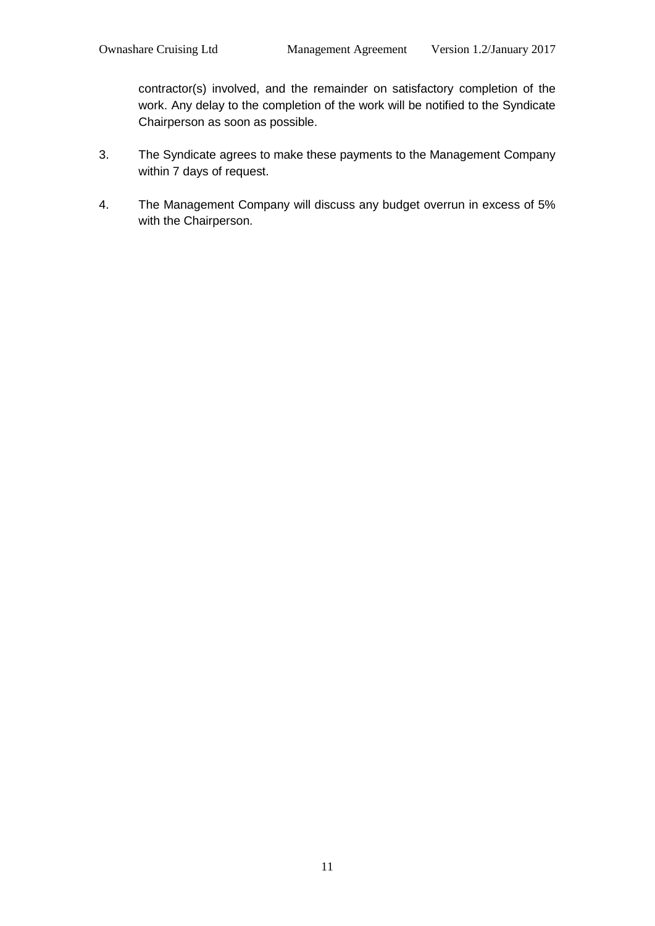contractor(s) involved, and the remainder on satisfactory completion of the work. Any delay to the completion of the work will be notified to the Syndicate Chairperson as soon as possible.

- 3. The Syndicate agrees to make these payments to the Management Company within 7 days of request.
- 4. The Management Company will discuss any budget overrun in excess of 5% with the Chairperson.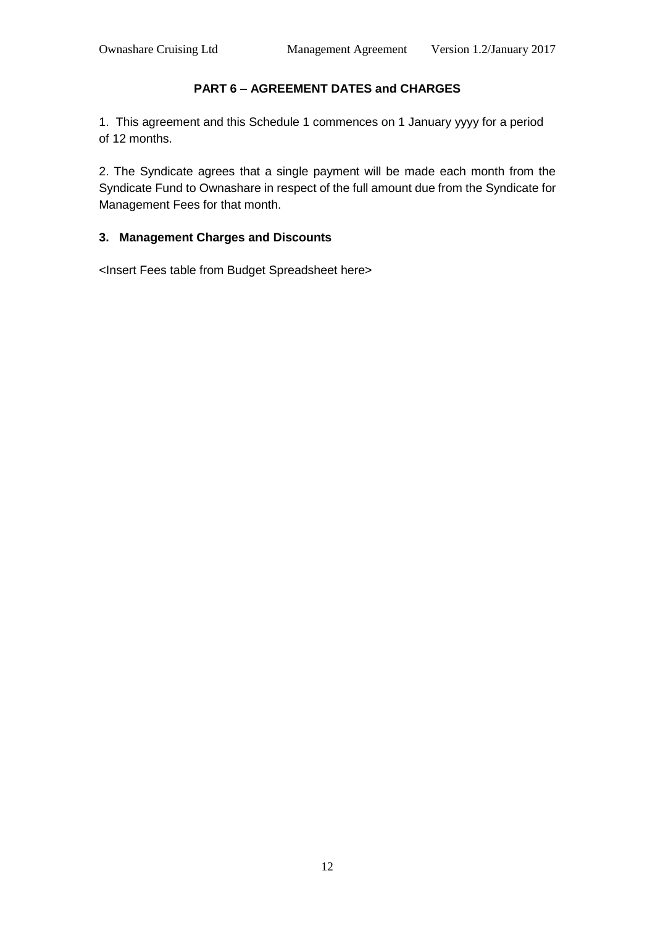# **PART 6 – AGREEMENT DATES and CHARGES**

1. This agreement and this Schedule 1 commences on 1 January yyyy for a period of 12 months.

2. The Syndicate agrees that a single payment will be made each month from the Syndicate Fund to Ownashare in respect of the full amount due from the Syndicate for Management Fees for that month.

## **3. Management Charges and Discounts**

<Insert Fees table from Budget Spreadsheet here>